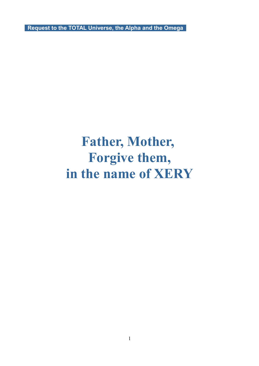**Request to the TOTAL Universe, the Alpha and the Omega** 

## **Father, Mother, Forgive them, in the name of XERY**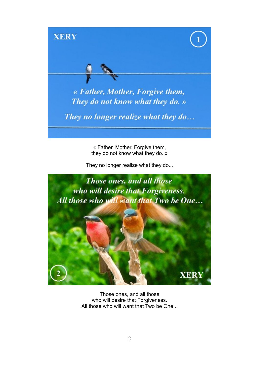

« Father, Mother, Forgive them, they do not know what they do. »

They no longer realize what they do...



Those ones, and all those who will desire that Forgiveness. All those who will want that Two be One...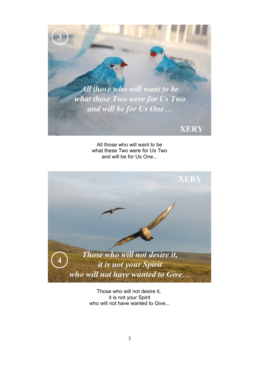

All those who will want to be what these Two were for Us Two and will be for Us One...



Those who will not desire it, it is not your Spirit who will not have wanted to Give...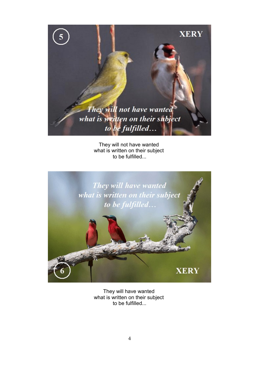

They will not have wanted what is written on their subject to be fulfilled...



They will have wanted what is written on their subject to be fulfilled...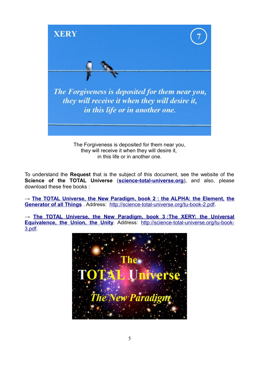

in this life or in another one.

To understand the **Request** that is the subject of this document, see the website of the **Science of the TOTAL Universe** (**[science-total-universe.org](http://science-total-universe.org/)**), and also, please download these free books :

→ **[The TOTAL Universe, the New Paradigm, book 2](http://science-total-universe.org/download_neotrin/total-universe-new-paradigm-truth-2-full-version.pdf) : the ALPHA: the Element, [the](http://science-total-universe.org/download_neotrin/total-universe-new-paradigm-truth-2-full-version.pdf) [Generator of all Things](http://science-total-universe.org/download_neotrin/total-universe-new-paradigm-truth-2-full-version.pdf)** . Address: [http://science-total-universe.org/tu-book-2.pdf.](http://science-total-universe.org/tu-book-2.pdf)

 $\rightarrow$  The TOTAL Universe, the New Paradigm, book 3: The XERY: the Universal **[Equivalence, the Union, the Unity](http://science-total-universe.org/download_neotrin/total-universe-new-paradigm-truth-3.pdf)**. Address: [http://science-total-universe.org/tu-book-](http://science-total-universe.org/tu-book-3.pdf)[3.pdf.](http://science-total-universe.org/tu-book-3.pdf)

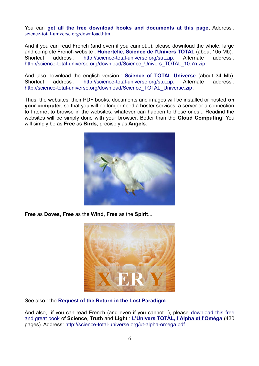You can **[get all the free download books and documents at this page](http://science-total-universe.org/download-total-universe-new-paradigm.php)**. Address : [science-total-universe.org/download.html](http://science-total-universe.org/).

And if you can read French (and even if you cannot...), please download the whole, large and complete French website : **[Hubertelie, Science de l'Univers TOTAL](http://science-total-universe.org/download/Science_Univers_TOTAL_10.7n.zip)** (about 105 Mb). Shortcut address : [http://science-total-universe.org/sut.zip.](http://science-total-universe.org/sut.zip) Alternate address : [http://science-total-universe.org/download/Science\\_Univers\\_TOTAL\\_10.7n.zip.](http://science-total-universe.org/download/Science_Univers_TOTAL_10.7n.zip)

And also download the english version : **[Science of TOTAL Universe](http://science-total-universe.org/download/Science_TOTAL_Universe.zip)** (about 34 Mb). Shortcut address : [http://science-total-universe.org/stu.zip.](http://science-total-universe.org/stu.zip) Alternate address : [http://science-total-universe.org/download/Science\\_TOTAL\\_Universe.zip.](http://science-total-universe.org/download/Science_TOTAL_Universe.zip)

Thus, the websites, their PDF books, documents and images will be installed or hosted **on your computer**, so that you will no longer need a hoster services, a server or a connection to Internet to browse in the websites, whatever can happen to these ones... Readind the websites will be simply done with your browser. Better than the **Cloud Computing**! You will simply be as **Free** as **Birds**, precisely as **Angels**.



**Free** as **Doves**, **Free** as the **Wind**, **Free** as the **Spirit**...



See also : the **[Request of the Return in the Lost Paradigm](http://science-total-universe.org/download_neotrin/total-universe-new-paradigm-truth-7.pdf)**.

And also, if you can read French (and even if you cannot...), please [download this free](http://fr.science-total-universe.org/download_neotrin/univers-total-alpha-et-omega-cosmo-ingenierie-requete-pouvoir.pdf) [and great book](http://fr.science-total-universe.org/download_neotrin/univers-total-alpha-et-omega-cosmo-ingenierie-requete-pouvoir.pdf) of **Science**, **Truth** and **Light** : **[L'Univers TOTAL, l'Alpha et l'Oméga](http://fr.science-total-universe.org/download_neotrin/univers-total-alpha-et-omega-cosmo-ingenierie-requete-pouvoir.pdf)** (430 pages). Address:<http://science-total-universe.org/ut-alpha-omega.pdf>.